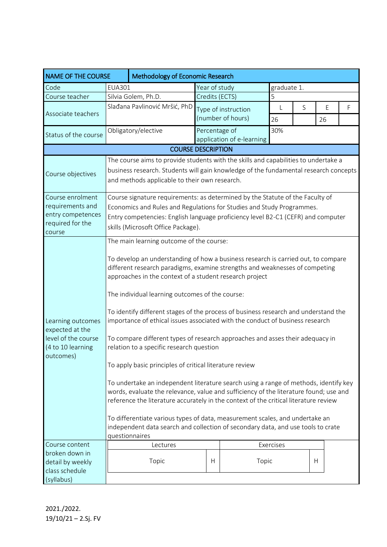| <b>NAME OF THE COURSE</b>                                                                     | Methodology of Economic Research                                                                                                                                                                                                                                                                                                                                                                                                                                                                                                                                                                                                                                                                                                                                                                                                                                                                                                                                                                                                                                                                                                        |                                                                                                                                                                                                                                                                                  |                |                                          |                    |   |         |   |  |  |
|-----------------------------------------------------------------------------------------------|-----------------------------------------------------------------------------------------------------------------------------------------------------------------------------------------------------------------------------------------------------------------------------------------------------------------------------------------------------------------------------------------------------------------------------------------------------------------------------------------------------------------------------------------------------------------------------------------------------------------------------------------------------------------------------------------------------------------------------------------------------------------------------------------------------------------------------------------------------------------------------------------------------------------------------------------------------------------------------------------------------------------------------------------------------------------------------------------------------------------------------------------|----------------------------------------------------------------------------------------------------------------------------------------------------------------------------------------------------------------------------------------------------------------------------------|----------------|------------------------------------------|--------------------|---|---------|---|--|--|
| Code                                                                                          | EUA301                                                                                                                                                                                                                                                                                                                                                                                                                                                                                                                                                                                                                                                                                                                                                                                                                                                                                                                                                                                                                                                                                                                                  |                                                                                                                                                                                                                                                                                  | Year of study  |                                          | graduate 1.        |   |         |   |  |  |
| Course teacher                                                                                |                                                                                                                                                                                                                                                                                                                                                                                                                                                                                                                                                                                                                                                                                                                                                                                                                                                                                                                                                                                                                                                                                                                                         | Silvia Golem, Ph.D.                                                                                                                                                                                                                                                              | Credits (ECTS) |                                          | 5                  |   |         |   |  |  |
| Associate teachers                                                                            |                                                                                                                                                                                                                                                                                                                                                                                                                                                                                                                                                                                                                                                                                                                                                                                                                                                                                                                                                                                                                                                                                                                                         | Slađana Pavlinović Mršić, PhD                                                                                                                                                                                                                                                    |                | Type of instruction<br>(number of hours) | $\mathsf{L}$<br>26 | S | E<br>26 | F |  |  |
| Status of the course                                                                          |                                                                                                                                                                                                                                                                                                                                                                                                                                                                                                                                                                                                                                                                                                                                                                                                                                                                                                                                                                                                                                                                                                                                         | Obligatory/elective                                                                                                                                                                                                                                                              | Percentage of  | application of e-learning                | 30%                |   |         |   |  |  |
| <b>COURSE DESCRIPTION</b>                                                                     |                                                                                                                                                                                                                                                                                                                                                                                                                                                                                                                                                                                                                                                                                                                                                                                                                                                                                                                                                                                                                                                                                                                                         |                                                                                                                                                                                                                                                                                  |                |                                          |                    |   |         |   |  |  |
| Course objectives                                                                             |                                                                                                                                                                                                                                                                                                                                                                                                                                                                                                                                                                                                                                                                                                                                                                                                                                                                                                                                                                                                                                                                                                                                         | The course aims to provide students with the skills and capabilities to undertake a<br>business research. Students will gain knowledge of the fundamental research concepts<br>and methods applicable to their own research.                                                     |                |                                          |                    |   |         |   |  |  |
| Course enrolment<br>requirements and<br>entry competences<br>required for the<br>course       |                                                                                                                                                                                                                                                                                                                                                                                                                                                                                                                                                                                                                                                                                                                                                                                                                                                                                                                                                                                                                                                                                                                                         | Course signature requirements: as determined by the Statute of the Faculty of<br>Economics and Rules and Regulations for Studies and Study Programmes.<br>Entry competencies: English language proficiency level B2-C1 (CEFR) and computer<br>skills (Microsoft Office Package). |                |                                          |                    |   |         |   |  |  |
| Learning outcomes<br>expected at the<br>level of the course<br>(4 to 10 learning<br>outcomes) | The main learning outcome of the course:<br>To develop an understanding of how a business research is carried out, to compare<br>different research paradigms, examine strengths and weaknesses of competing<br>approaches in the context of a student research project<br>The individual learning outcomes of the course:<br>To identify different stages of the process of business research and understand the<br>importance of ethical issues associated with the conduct of business research<br>To compare different types of research approaches and asses their adequacy in<br>relation to a specific research question<br>To apply basic principles of critical literature review<br>To undertake an independent literature search using a range of methods, identify key<br>words, evaluate the relevance, value and sufficiency of the literature found; use and<br>reference the literature accurately in the context of the critical literature review<br>To differentiate various types of data, measurement scales, and undertake an<br>independent data search and collection of secondary data, and use tools to crate |                                                                                                                                                                                                                                                                                  |                |                                          |                    |   |         |   |  |  |
| Course content<br>broken down in<br>detail by weekly<br>class schedule                        | Exercises<br>Lectures<br>Topic<br>H<br>H<br>Topic                                                                                                                                                                                                                                                                                                                                                                                                                                                                                                                                                                                                                                                                                                                                                                                                                                                                                                                                                                                                                                                                                       |                                                                                                                                                                                                                                                                                  |                |                                          |                    |   |         |   |  |  |
| (syllabus)                                                                                    |                                                                                                                                                                                                                                                                                                                                                                                                                                                                                                                                                                                                                                                                                                                                                                                                                                                                                                                                                                                                                                                                                                                                         |                                                                                                                                                                                                                                                                                  |                |                                          |                    |   |         |   |  |  |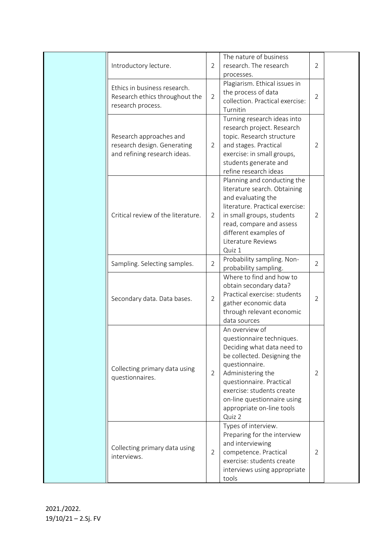| Introductory lecture.                                                                  | $\overline{2}$ | The nature of business<br>research. The research<br>processes.                                                                                                                                                                                                                 | $\overline{2}$ |  |
|----------------------------------------------------------------------------------------|----------------|--------------------------------------------------------------------------------------------------------------------------------------------------------------------------------------------------------------------------------------------------------------------------------|----------------|--|
| Ethics in business research.<br>Research ethics throughout the<br>research process.    | $\overline{2}$ | Plagiarism. Ethical issues in<br>the process of data<br>collection. Practical exercise:<br>Turnitin                                                                                                                                                                            | $\overline{2}$ |  |
| Research approaches and<br>research design. Generating<br>and refining research ideas. | 2              | Turning research ideas into<br>research project. Research<br>topic. Research structure<br>and stages. Practical<br>exercise: in small groups,<br>students generate and<br>refine research ideas                                                                                | $\overline{2}$ |  |
| Critical review of the literature.                                                     | 2              | Planning and conducting the<br>literature search. Obtaining<br>and evaluating the<br>literature. Practical exercise:<br>in small groups, students<br>read, compare and assess<br>different examples of<br>Literature Reviews<br>Quiz 1                                         | 2              |  |
| Sampling. Selecting samples.                                                           | $\overline{2}$ | Probability sampling. Non-<br>probability sampling.                                                                                                                                                                                                                            | 2              |  |
| Secondary data. Data bases.                                                            | 2              | Where to find and how to<br>obtain secondary data?<br>Practical exercise: students<br>gather economic data<br>through relevant economic<br>data sources                                                                                                                        | $\overline{2}$ |  |
| Collecting primary data using<br>questionnaires.                                       | $\overline{2}$ | An overview of<br>questionnaire techniques.<br>Deciding what data need to<br>be collected. Designing the<br>questionnaire.<br>Administering the<br>questionnaire. Practical<br>exercise: students create<br>on-line questionnaire using<br>appropriate on-line tools<br>Quiz 2 | 2              |  |
| Collecting primary data using<br>interviews.                                           | $\overline{2}$ | Types of interview.<br>Preparing for the interview<br>and interviewing<br>competence. Practical<br>exercise: students create<br>interviews using appropriate<br>tools                                                                                                          | 2              |  |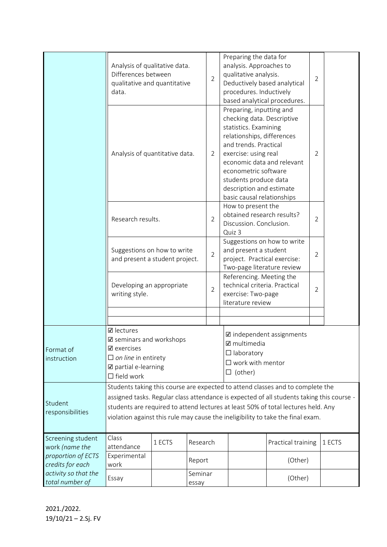|                                                           | Analysis of qualitative data.<br>Differences between<br>qualitative and quantitative<br>data.                                                                                                                                                                                                                                                       |                  |          | $\overline{2}$ | Preparing the data for<br>analysis. Approaches to<br>qualitative analysis.<br>Deductively based analytical<br>procedures. Inductively<br>based analytical procedures.                                                                                                                                   |                    |                |        |
|-----------------------------------------------------------|-----------------------------------------------------------------------------------------------------------------------------------------------------------------------------------------------------------------------------------------------------------------------------------------------------------------------------------------------------|------------------|----------|----------------|---------------------------------------------------------------------------------------------------------------------------------------------------------------------------------------------------------------------------------------------------------------------------------------------------------|--------------------|----------------|--------|
|                                                           | Analysis of quantitative data.                                                                                                                                                                                                                                                                                                                      |                  |          | $\overline{2}$ | Preparing, inputting and<br>checking data. Descriptive<br>statistics. Examining<br>relationships, differences<br>and trends. Practical<br>exercise: using real<br>economic data and relevant<br>econometric software<br>students produce data<br>description and estimate<br>basic causal relationships |                    | $\overline{2}$ |        |
|                                                           | Research results.                                                                                                                                                                                                                                                                                                                                   |                  |          | $\overline{2}$ | How to present the<br>obtained research results?<br>$\overline{2}$<br>Discussion. Conclusion.<br>Quiz 3                                                                                                                                                                                                 |                    |                |        |
|                                                           | Suggestions on how to write<br>and present a student project.                                                                                                                                                                                                                                                                                       |                  |          | $\overline{2}$ | Suggestions on how to write<br>and present a student<br>project. Practical exercise:<br>Two-page literature review                                                                                                                                                                                      |                    | $\overline{2}$ |        |
|                                                           | Developing an appropriate<br>writing style.                                                                                                                                                                                                                                                                                                         |                  |          | $\overline{2}$ | Referencing. Meeting the<br>technical criteria. Practical<br>exercise: Two-page<br>literature review                                                                                                                                                                                                    |                    |                |        |
|                                                           |                                                                                                                                                                                                                                                                                                                                                     |                  |          |                |                                                                                                                                                                                                                                                                                                         |                    |                |        |
| Format of<br>instruction                                  | <b>☑</b> lectures<br>$\mathbf{\mathbb{Z}}$ seminars and workshops<br>$\boxtimes$ exercises<br>$\Box$ on line in entirety<br>☑ partial e-learning<br>$\Box$ field work                                                                                                                                                                               |                  |          |                | ☑ independent assignments<br>$\boxtimes$ multimedia<br>$\Box$ laboratory<br>$\square$ work with mentor<br>$\Box$ (other)                                                                                                                                                                                |                    |                |        |
| Student<br>responsibilities                               | Students taking this course are expected to attend classes and to complete the<br>assigned tasks. Regular class attendance is expected of all students taking this course -<br>students are required to attend lectures at least 50% of total lectures held. Any<br>violation against this rule may cause the ineligibility to take the final exam. |                  |          |                |                                                                                                                                                                                                                                                                                                         |                    |                |        |
| Screening student<br>work (name the<br>proportion of ECTS | Class<br>1 ECTS<br>attendance<br>Experimental                                                                                                                                                                                                                                                                                                       |                  | Research |                |                                                                                                                                                                                                                                                                                                         | Practical training |                | 1 ECTS |
| credits for each                                          | Report<br>work                                                                                                                                                                                                                                                                                                                                      |                  |          |                |                                                                                                                                                                                                                                                                                                         | (Other)            |                |        |
| activity so that the<br>total number of                   | Essay                                                                                                                                                                                                                                                                                                                                               | Seminar<br>essay |          |                |                                                                                                                                                                                                                                                                                                         | (Other)            |                |        |

2021./2022. 19/10/21 – 2.Sj. FV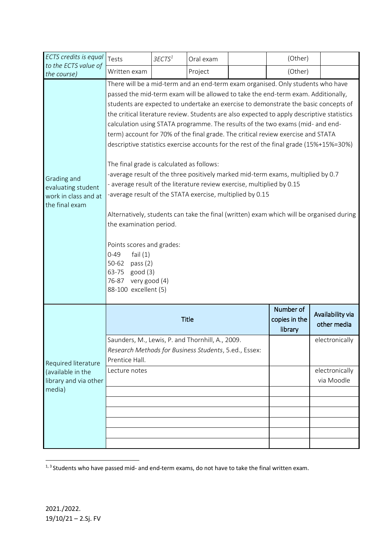| ECTS credits is equal                                                       | Tests                                                                                                                                                                                                                                                                                                                                                                                                                                                                                                                                                                                                                                                                                                                                                                                                                                                                                             | 3ECTS <sup>1</sup> | Oral exam    |                              | (Other)                               |                                 |  |  |  |
|-----------------------------------------------------------------------------|---------------------------------------------------------------------------------------------------------------------------------------------------------------------------------------------------------------------------------------------------------------------------------------------------------------------------------------------------------------------------------------------------------------------------------------------------------------------------------------------------------------------------------------------------------------------------------------------------------------------------------------------------------------------------------------------------------------------------------------------------------------------------------------------------------------------------------------------------------------------------------------------------|--------------------|--------------|------------------------------|---------------------------------------|---------------------------------|--|--|--|
| to the ECTS value of<br>the course)                                         | Written exam                                                                                                                                                                                                                                                                                                                                                                                                                                                                                                                                                                                                                                                                                                                                                                                                                                                                                      |                    | Project      |                              | (Other)                               |                                 |  |  |  |
| Grading and<br>evaluating student<br>work in class and at<br>the final exam | There will be a mid-term and an end-term exam organised. Only students who have<br>passed the mid-term exam will be allowed to take the end-term exam. Additionally,<br>students are expected to undertake an exercise to demonstrate the basic concepts of<br>the critical literature review. Students are also expected to apply descriptive statistics<br>calculation using STATA programme. The results of the two exams (mid- and end-<br>term) account for 70% of the final grade. The critical review exercise and STATA<br>descriptive statistics exercise accounts for the rest of the final grade (15%+15%=30%)<br>The final grade is calculated as follows:<br>-average result of the three positively marked mid-term exams, multiplied by 0.7<br>- average result of the literature review exercise, multiplied by 0.15<br>-average result of the STATA exercise, multiplied by 0.15 |                    |              |                              |                                       |                                 |  |  |  |
|                                                                             | Alternatively, students can take the final (written) exam which will be organised during<br>the examination period.<br>Points scores and grades:<br>fail $(1)$<br>$0 - 49$<br>$50 - 62$<br>pass $(2)$<br>good(3)<br>63-75<br>76-87<br>very good (4)<br>88-100 excellent (5)                                                                                                                                                                                                                                                                                                                                                                                                                                                                                                                                                                                                                       |                    |              |                              |                                       |                                 |  |  |  |
|                                                                             |                                                                                                                                                                                                                                                                                                                                                                                                                                                                                                                                                                                                                                                                                                                                                                                                                                                                                                   |                    | <b>Title</b> |                              | Number of<br>copies in the<br>library | Availability via<br>other media |  |  |  |
| Required literature<br>(available in the<br>library and via other<br>media) | Saunders, M., Lewis, P. and Thornhill, A., 2009.<br>Research Methods for Business Students, 5.ed., Essex:<br>Prentice Hall.                                                                                                                                                                                                                                                                                                                                                                                                                                                                                                                                                                                                                                                                                                                                                                       |                    |              | electronically               |                                       |                                 |  |  |  |
|                                                                             | Lecture notes                                                                                                                                                                                                                                                                                                                                                                                                                                                                                                                                                                                                                                                                                                                                                                                                                                                                                     |                    |              | electronically<br>via Moodle |                                       |                                 |  |  |  |
|                                                                             |                                                                                                                                                                                                                                                                                                                                                                                                                                                                                                                                                                                                                                                                                                                                                                                                                                                                                                   |                    |              |                              |                                       |                                 |  |  |  |
|                                                                             |                                                                                                                                                                                                                                                                                                                                                                                                                                                                                                                                                                                                                                                                                                                                                                                                                                                                                                   |                    |              |                              |                                       |                                 |  |  |  |
|                                                                             |                                                                                                                                                                                                                                                                                                                                                                                                                                                                                                                                                                                                                                                                                                                                                                                                                                                                                                   |                    |              |                              |                                       |                                 |  |  |  |
|                                                                             |                                                                                                                                                                                                                                                                                                                                                                                                                                                                                                                                                                                                                                                                                                                                                                                                                                                                                                   |                    |              |                              |                                       |                                 |  |  |  |
|                                                                             |                                                                                                                                                                                                                                                                                                                                                                                                                                                                                                                                                                                                                                                                                                                                                                                                                                                                                                   |                    |              |                              |                                       |                                 |  |  |  |

 1, 3 Students who have passed mid- and end-term exams, do not have to take the final written exam.